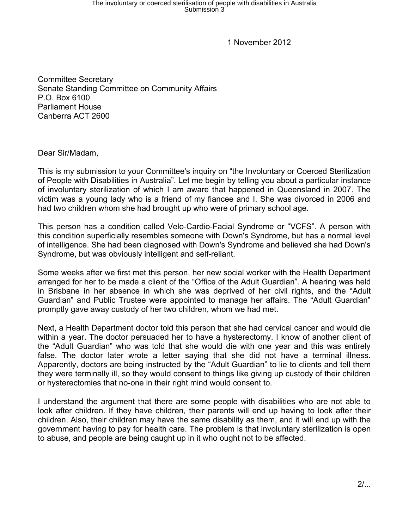1 November 2012

Committee Secretary Senate Standing Committee on Community Affairs P.O. Box 6100 Parliament House Canberra ACT 2600

Dear Sir/Madam,

This is my submission to your Committee's inquiry on "the Involuntary or Coerced Sterilization of People with Disabilities in Australia". Let me begin by telling you about a particular instance of involuntary sterilization of which I am aware that happened in Queensland in 2007. The victim was a young lady who is a friend of my fiancee and I. She was divorced in 2006 and had two children whom she had brought up who were of primary school age.

This person has a condition called Velo-Cardio-Facial Syndrome or "VCFS". A person with this condition superficially resembles someone with Down's Syndrome, but has a normal level of intelligence. She had been diagnosed with Down's Syndrome and believed she had Down's Syndrome, but was obviously intelligent and self-reliant.

Some weeks after we first met this person, her new social worker with the Health Department arranged for her to be made a client of the "Office of the Adult Guardian". A hearing was held in Brisbane in her absence in which she was deprived of her civil rights, and the "Adult Guardian" and Public Trustee were appointed to manage her affairs. The "Adult Guardian" promptly gave away custody of her two children, whom we had met.

Next, a Health Department doctor told this person that she had cervical cancer and would die within a year. The doctor persuaded her to have a hysterectomy. I know of another client of the "Adult Guardian" who was told that she would die with one year and this was entirely false. The doctor later wrote a letter saying that she did not have a terminal illness. Apparently, doctors are being instructed by the "Adult Guardian" to lie to clients and tell them they were terminally ill, so they would consent to things like giving up custody of their children or hysterectomies that no-one in their right mind would consent to.

I understand the argument that there are some people with disabilities who are not able to look after children. If they have children, their parents will end up having to look after their children. Also, their children may have the same disability as them, and it will end up with the government having to pay for health care. The problem is that involuntary sterilization is open to abuse, and people are being caught up in it who ought not to be affected.